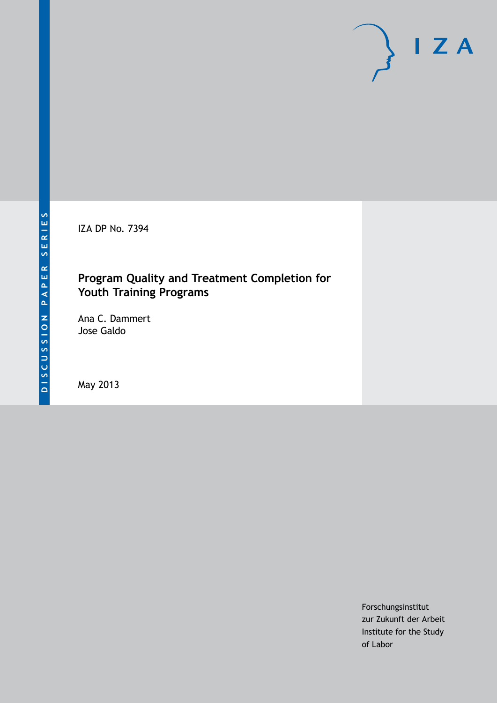IZA DP No. 7394

# **Program Quality and Treatment Completion for Youth Training Programs**

Ana C. Dammert Jose Galdo

May 2013

Forschungsinstitut zur Zukunft der Arbeit Institute for the Study of Labor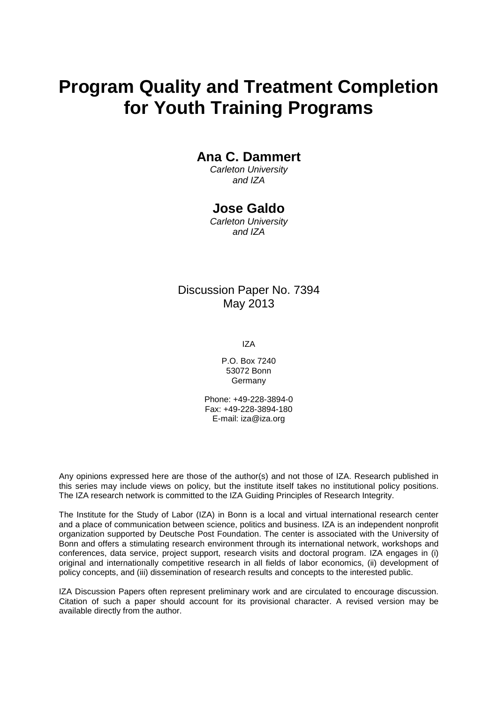# **Program Quality and Treatment Completion for Youth Training Programs**

## **Ana C. Dammert**

*Carleton University and IZA*

### **Jose Galdo**

*Carleton University and IZA*

### Discussion Paper No. 7394 May 2013

IZA

P.O. Box 7240 53072 Bonn Germany

Phone: +49-228-3894-0 Fax: +49-228-3894-180 E-mail: [iza@iza.org](mailto:iza@iza.org)

Any opinions expressed here are those of the author(s) and not those of IZA. Research published in this series may include views on policy, but the institute itself takes no institutional policy positions. The IZA research network is committed to the IZA Guiding Principles of Research Integrity.

The Institute for the Study of Labor (IZA) in Bonn is a local and virtual international research center and a place of communication between science, politics and business. IZA is an independent nonprofit organization supported by Deutsche Post Foundation. The center is associated with the University of Bonn and offers a stimulating research environment through its international network, workshops and conferences, data service, project support, research visits and doctoral program. IZA engages in (i) original and internationally competitive research in all fields of labor economics, (ii) development of policy concepts, and (iii) dissemination of research results and concepts to the interested public.

<span id="page-1-0"></span>IZA Discussion Papers often represent preliminary work and are circulated to encourage discussion. Citation of such a paper should account for its provisional character. A revised version may be available directly from the author.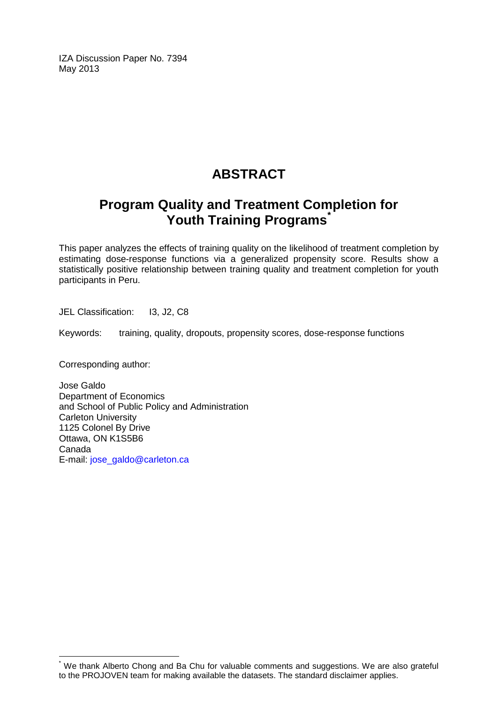IZA Discussion Paper No. 7394 May 2013

# **ABSTRACT**

# **Program Quality and Treatment Completion for Youth Training Programs[\\*](#page-1-0)**

This paper analyzes the effects of training quality on the likelihood of treatment completion by estimating dose-response functions via a generalized propensity score. Results show a statistically positive relationship between training quality and treatment completion for youth participants in Peru.

JEL Classification: I3, J2, C8

Keywords: training, quality, dropouts, propensity scores, dose-response functions

Corresponding author:

Jose Galdo Department of Economics and School of Public Policy and Administration Carleton University 1125 Colonel By Drive Ottawa, ON K1S5B6 Canada E-mail: [jose\\_galdo@carleton.ca](mailto:jose_galdo@carleton.ca)

We thank Alberto Chong and Ba Chu for valuable comments and suggestions. We are also grateful to the PROJOVEN team for making available the datasets. The standard disclaimer applies.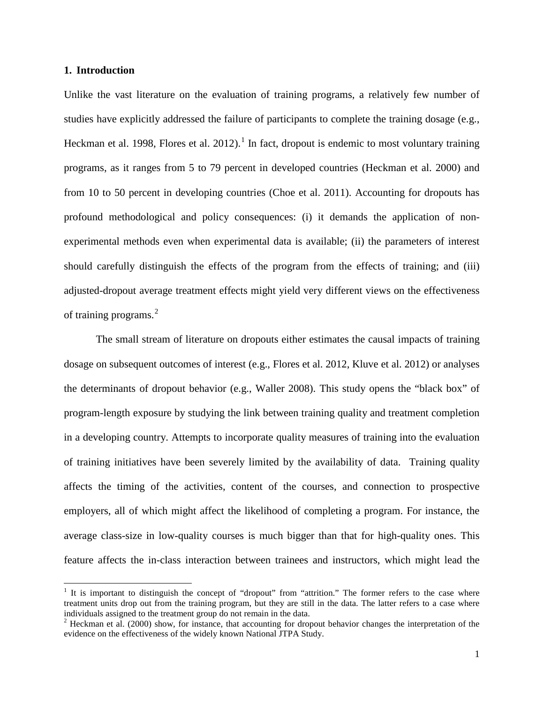#### **1. Introduction**

Unlike the vast literature on the evaluation of training programs, a relatively few number of studies have explicitly addressed the failure of participants to complete the training dosage (e.g., Heckman et al. 1998, Flores et al. 2012).<sup>1</sup> In fact, dropout is endemic to most voluntary training programs, as it ranges from 5 to 79 percent in developed countries (Heckman et al. 2000) and from 10 to 50 percent in developing countries (Choe et al. 2011). Accounting for dropouts has profound methodological and policy consequences: (i) it demands the application of nonexperimental methods even when experimental data is available; (ii) the parameters of interest should carefully distinguish the effects of the program from the effects of training; and (iii) adjusted-dropout average treatment effects might yield very different views on the effectiveness of training programs.<sup>[2](#page-3-0)</sup>

The small stream of literature on dropouts either estimates the causal impacts of training dosage on subsequent outcomes of interest (e.g., Flores et al. 2012, Kluve et al. 2012) or analyses the determinants of dropout behavior (e.g., Waller 2008). This study opens the "black box" of program-length exposure by studying the link between training quality and treatment completion in a developing country. Attempts to incorporate quality measures of training into the evaluation of training initiatives have been severely limited by the availability of data. Training quality affects the timing of the activities, content of the courses, and connection to prospective employers, all of which might affect the likelihood of completing a program. For instance, the average class-size in low-quality courses is much bigger than that for high-quality ones. This feature affects the in-class interaction between trainees and instructors, which might lead the

<sup>&</sup>lt;sup>1</sup> It is important to distinguish the concept of "dropout" from "attrition." The former refers to the case where treatment units drop out from the training program, but they are still in the data. The latter refers to a case where individuals assigned to the treatment group do not remain in the data.<br><sup>2</sup> Heckman et al. (2000) show, for instance, that accounting for dropout behavior changes the interpretation of the

<span id="page-3-1"></span><span id="page-3-0"></span>evidence on the effectiveness of the widely known National JTPA Study.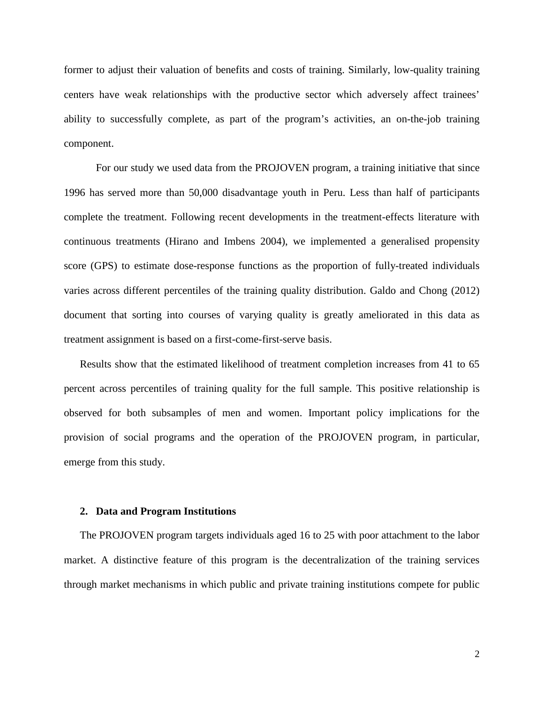former to adjust their valuation of benefits and costs of training. Similarly, low-quality training centers have weak relationships with the productive sector which adversely affect trainees' ability to successfully complete, as part of the program's activities, an on-the-job training component.

For our study we used data from the PROJOVEN program, a training initiative that since 1996 has served more than 50,000 disadvantage youth in Peru. Less than half of participants complete the treatment. Following recent developments in the treatment-effects literature with continuous treatments (Hirano and Imbens 2004), we implemented a generalised propensity score (GPS) to estimate dose-response functions as the proportion of fully-treated individuals varies across different percentiles of the training quality distribution. Galdo and Chong (2012) document that sorting into courses of varying quality is greatly ameliorated in this data as treatment assignment is based on a first-come-first-serve basis.

Results show that the estimated likelihood of treatment completion increases from 41 to 65 percent across percentiles of training quality for the full sample. This positive relationship is observed for both subsamples of men and women. Important policy implications for the provision of social programs and the operation of the PROJOVEN program, in particular, emerge from this study.

#### **2. Data and Program Institutions**

The PROJOVEN program targets individuals aged 16 to 25 with poor attachment to the labor market. A distinctive feature of this program is the decentralization of the training services through market mechanisms in which public and private training institutions compete for public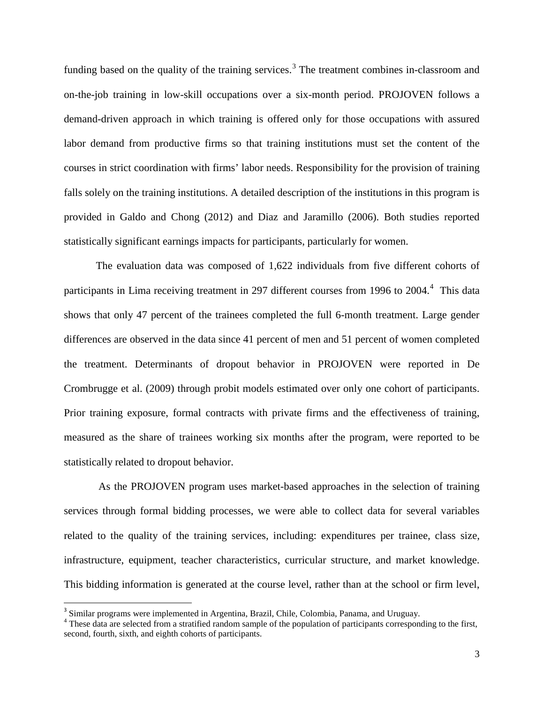funding based on the quality of the training services.<sup>[3](#page-3-1)</sup> The treatment combines in-classroom and on-the-job training in low-skill occupations over a six-month period. PROJOVEN follows a demand-driven approach in which training is offered only for those occupations with assured labor demand from productive firms so that training institutions must set the content of the courses in strict coordination with firms' labor needs. Responsibility for the provision of training falls solely on the training institutions. A detailed description of the institutions in this program is provided in Galdo and Chong (2012) and Diaz and Jaramillo (2006). Both studies reported statistically significant earnings impacts for participants, particularly for women.

The evaluation data was composed of 1,622 individuals from five different cohorts of participants in Lima receiving treatment in 297 different courses from 1996 to 200[4](#page-5-0).<sup>4</sup> This data shows that only 47 percent of the trainees completed the full 6-month treatment. Large gender differences are observed in the data since 41 percent of men and 51 percent of women completed the treatment. Determinants of dropout behavior in PROJOVEN were reported in De Crombrugge et al. (2009) through probit models estimated over only one cohort of participants. Prior training exposure, formal contracts with private firms and the effectiveness of training, measured as the share of trainees working six months after the program, were reported to be statistically related to dropout behavior.

As the PROJOVEN program uses market-based approaches in the selection of training services through formal bidding processes, we were able to collect data for several variables related to the quality of the training services, including: expenditures per trainee, class size, infrastructure, equipment, teacher characteristics, curricular structure, and market knowledge. This bidding information is generated at the course level, rather than at the school or firm level,

<span id="page-5-0"></span> $3$  Similar programs were implemented in Argentina, Brazil, Chile, Colombia, Panama, and Uruguay.  $4$  These data are selected from a stratified random sample of the population of participants corresponding to the first, second, fourth, sixth, and eighth cohorts of participants.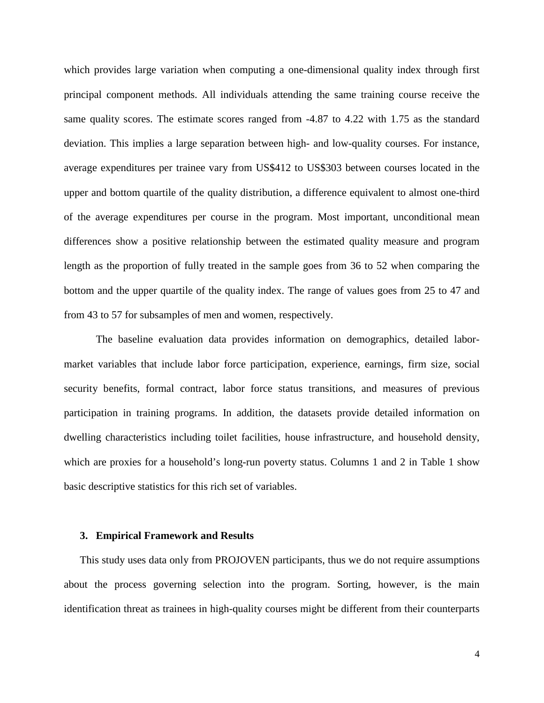which provides large variation when computing a one-dimensional quality index through first principal component methods. All individuals attending the same training course receive the same quality scores. The estimate scores ranged from -4.87 to 4.22 with 1.75 as the standard deviation. This implies a large separation between high- and low-quality courses. For instance, average expenditures per trainee vary from US\$412 to US\$303 between courses located in the upper and bottom quartile of the quality distribution, a difference equivalent to almost one-third of the average expenditures per course in the program. Most important, unconditional mean differences show a positive relationship between the estimated quality measure and program length as the proportion of fully treated in the sample goes from 36 to 52 when comparing the bottom and the upper quartile of the quality index. The range of values goes from 25 to 47 and from 43 to 57 for subsamples of men and women, respectively.

The baseline evaluation data provides information on demographics, detailed labormarket variables that include labor force participation, experience, earnings, firm size, social security benefits, formal contract, labor force status transitions, and measures of previous participation in training programs. In addition, the datasets provide detailed information on dwelling characteristics including toilet facilities, house infrastructure, and household density, which are proxies for a household's long-run poverty status. Columns 1 and 2 in Table 1 show basic descriptive statistics for this rich set of variables.

#### **3. Empirical Framework and Results**

This study uses data only from PROJOVEN participants, thus we do not require assumptions about the process governing selection into the program. Sorting, however, is the main identification threat as trainees in high-quality courses might be different from their counterparts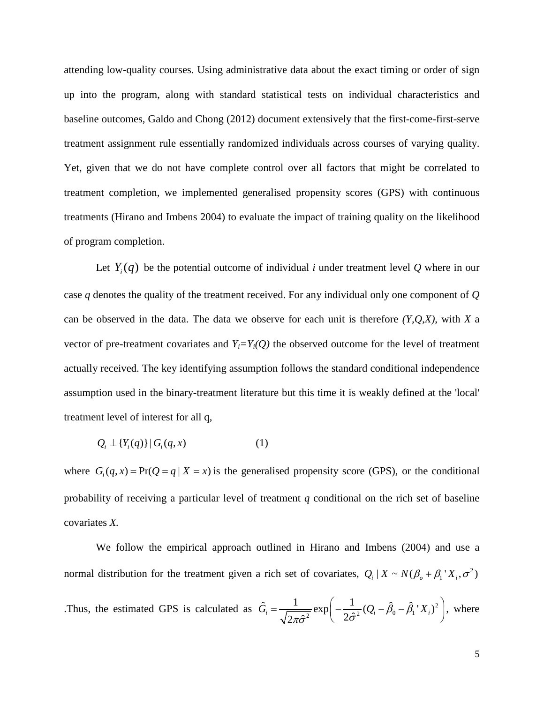attending low-quality courses. Using administrative data about the exact timing or order of sign up into the program, along with standard statistical tests on individual characteristics and baseline outcomes, Galdo and Chong (2012) document extensively that the first-come-first-serve treatment assignment rule essentially randomized individuals across courses of varying quality. Yet, given that we do not have complete control over all factors that might be correlated to treatment completion, we implemented generalised propensity scores (GPS) with continuous treatments (Hirano and Imbens 2004) to evaluate the impact of training quality on the likelihood of program completion.

Let  $Y_i(q)$  be the potential outcome of individual *i* under treatment level Q where in our case *q* denotes the quality of the treatment received. For any individual only one component of *Q* can be observed in the data. The data we observe for each unit is therefore *(Y,Q,X)*, with *X* a vector of pre-treatment covariates and  $Y_i = Y_i(Q)$  the observed outcome for the level of treatment actually received. The key identifying assumption follows the standard conditional independence assumption used in the binary-treatment literature but this time it is weakly defined at the 'local' treatment level of interest for all q,

$$
Q_i \perp \{Y_i(q)\} \mid G_i(q, x) \tag{1}
$$

where  $G_i(q, x) = Pr(Q = q | X = x)$  is the generalised propensity score (GPS), or the conditional probability of receiving a particular level of treatment *q* conditional on the rich set of baseline covariates *X.*

We follow the empirical approach outlined in Hirano and Imbens (2004) and use a normal distribution for the treatment given a rich set of covariates,  $Q_i | X \sim N(\beta_o + \beta_1 X_i, \sigma^2)$ Thus, the estimated GPS is calculated as  $\hat{G}_i = \frac{1}{\sqrt{2\pi\hat{\sigma}^2}} \exp\left(-\frac{1}{2\hat{\sigma}^2}(Q_i - \hat{\beta}_0 - \hat{\beta}_1 X_i)^2\right)$ , where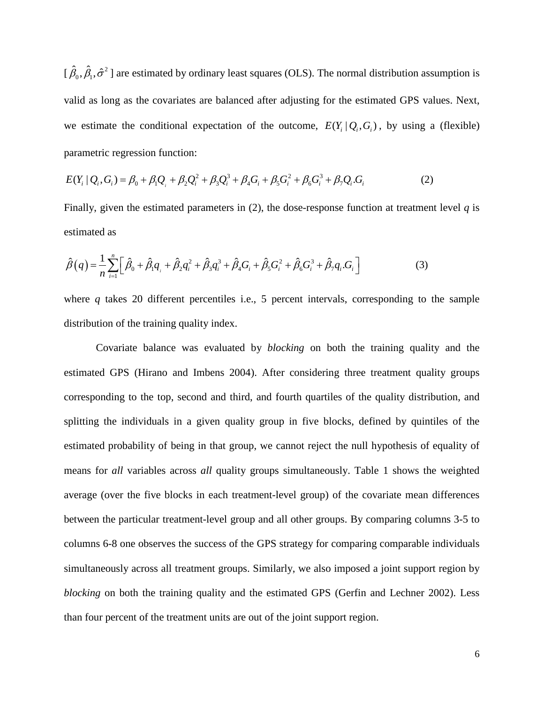$[\hat{\beta}_0, \hat{\beta}_1, \hat{\sigma}^2]$  are estimated by ordinary least squares (OLS). The normal distribution assumption is valid as long as the covariates are balanced after adjusting for the estimated GPS values. Next, we estimate the conditional expectation of the outcome,  $E(Y_i | Q_i, G_i)$ , by using a (flexible) parametric regression function:

$$
E(Y_i \mid Q_i, G_i) = \beta_0 + \beta_1 Q_i + \beta_2 Q_i^2 + \beta_3 Q_i^3 + \beta_4 G_i + \beta_5 G_i^2 + \beta_6 G_i^3 + \beta_7 Q_i G_i
$$
 (2)

Finally, given the estimated parameters in  $(2)$ , the dose-response function at treatment level q is estimated as

$$
\hat{\beta}(q) = \frac{1}{n} \sum_{i=1}^{n} \left[ \hat{\beta}_0 + \hat{\beta}_1 q_i + \hat{\beta}_2 q_i^2 + \hat{\beta}_3 q_i^3 + \hat{\beta}_4 G_i + \hat{\beta}_5 G_i^2 + \hat{\beta}_6 G_i^3 + \hat{\beta}_7 q_i G_i \right]
$$
(3)

where *q* takes 20 different percentiles i.e., 5 percent intervals, corresponding to the sample distribution of the training quality index.

Covariate balance was evaluated by *blocking* on both the training quality and the estimated GPS (Hirano and Imbens 2004). After considering three treatment quality groups corresponding to the top, second and third, and fourth quartiles of the quality distribution, and splitting the individuals in a given quality group in five blocks, defined by quintiles of the estimated probability of being in that group, we cannot reject the null hypothesis of equality of means for *all* variables across *all* quality groups simultaneously. Table 1 shows the weighted average (over the five blocks in each treatment-level group) of the covariate mean differences between the particular treatment-level group and all other groups. By comparing columns 3-5 to columns 6-8 one observes the success of the GPS strategy for comparing comparable individuals simultaneously across all treatment groups. Similarly, we also imposed a joint support region by *blocking* on both the training quality and the estimated GPS (Gerfin and Lechner 2002). Less than four percent of the treatment units are out of the joint support region.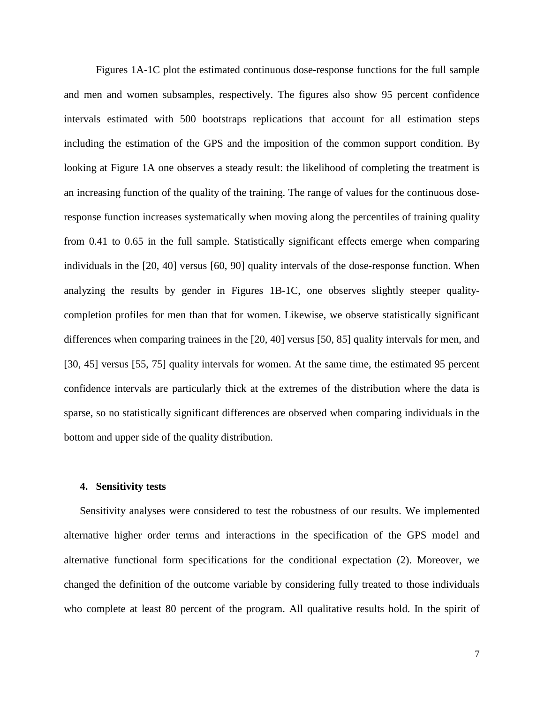Figures 1A-1C plot the estimated continuous dose-response functions for the full sample and men and women subsamples, respectively. The figures also show 95 percent confidence intervals estimated with 500 bootstraps replications that account for all estimation steps including the estimation of the GPS and the imposition of the common support condition. By looking at Figure 1A one observes a steady result: the likelihood of completing the treatment is an increasing function of the quality of the training. The range of values for the continuous doseresponse function increases systematically when moving along the percentiles of training quality from 0.41 to 0.65 in the full sample. Statistically significant effects emerge when comparing individuals in the [20, 40] versus [60, 90] quality intervals of the dose-response function. When analyzing the results by gender in Figures 1B-1C, one observes slightly steeper qualitycompletion profiles for men than that for women. Likewise, we observe statistically significant differences when comparing trainees in the [20, 40] versus [50, 85] quality intervals for men, and [30, 45] versus [55, 75] quality intervals for women. At the same time, the estimated 95 percent confidence intervals are particularly thick at the extremes of the distribution where the data is sparse, so no statistically significant differences are observed when comparing individuals in the bottom and upper side of the quality distribution.

#### **4. Sensitivity tests**

Sensitivity analyses were considered to test the robustness of our results. We implemented alternative higher order terms and interactions in the specification of the GPS model and alternative functional form specifications for the conditional expectation (2). Moreover, we changed the definition of the outcome variable by considering fully treated to those individuals who complete at least 80 percent of the program. All qualitative results hold. In the spirit of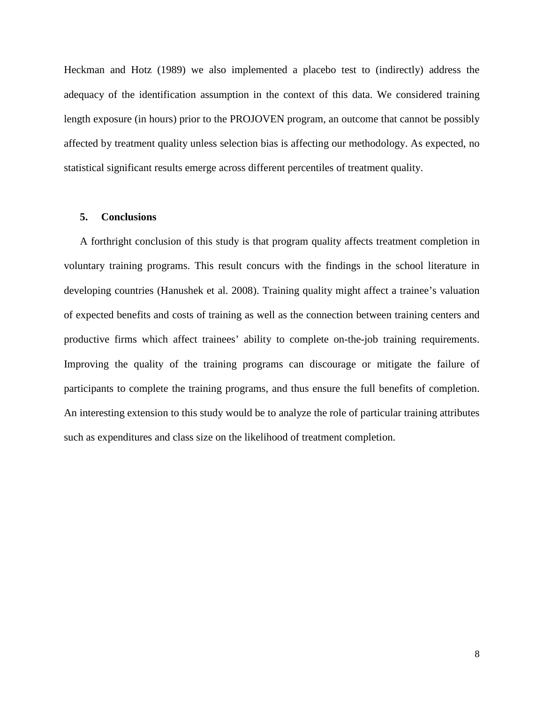Heckman and Hotz (1989) we also implemented a placebo test to (indirectly) address the adequacy of the identification assumption in the context of this data. We considered training length exposure (in hours) prior to the PROJOVEN program, an outcome that cannot be possibly affected by treatment quality unless selection bias is affecting our methodology. As expected, no statistical significant results emerge across different percentiles of treatment quality.

#### **5. Conclusions**

A forthright conclusion of this study is that program quality affects treatment completion in voluntary training programs. This result concurs with the findings in the school literature in developing countries (Hanushek et al. 2008). Training quality might affect a trainee's valuation of expected benefits and costs of training as well as the connection between training centers and productive firms which affect trainees' ability to complete on-the-job training requirements. Improving the quality of the training programs can discourage or mitigate the failure of participants to complete the training programs, and thus ensure the full benefits of completion. An interesting extension to this study would be to analyze the role of particular training attributes such as expenditures and class size on the likelihood of treatment completion.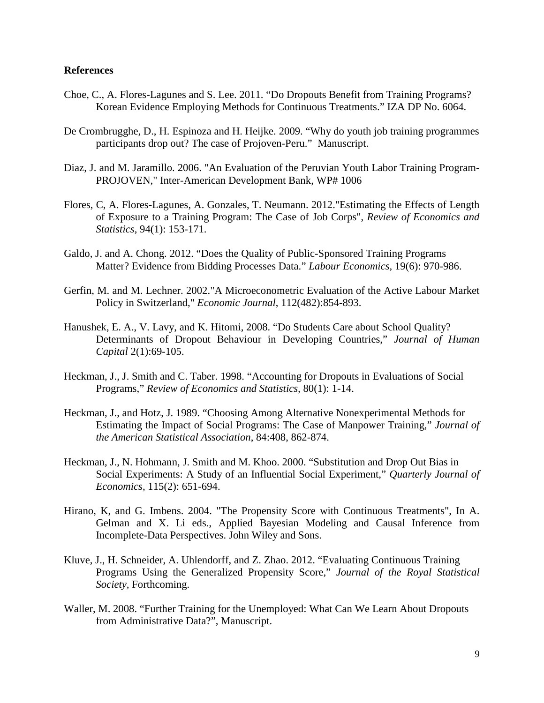#### **References**

- Choe, C., A. Flores-Lagunes and S. Lee. 2011. "Do Dropouts Benefit from Training Programs? Korean Evidence Employing Methods for Continuous Treatments." IZA DP No. 6064.
- De Crombrugghe, D., H. Espinoza and H. Heijke. 2009. "Why do youth job training programmes participants drop out? The case of Projoven-Peru." Manuscript.
- Diaz, J. and M. Jaramillo. 2006. "An Evaluation of the Peruvian Youth Labor Training Program-PROJOVEN," Inter-American Development Bank, WP# 1006
- Flores, C, A. Flores-Lagunes, A. Gonzales, T. Neumann. 2012."Estimating the Effects of Length of Exposure to a Training Program: The Case of Job Corps", *Review of Economics and Statistics*, 94(1): 153-171.
- Galdo, J. and A. Chong. 2012. "Does the Quality of Public-Sponsored Training Programs Matter? Evidence from Bidding Processes Data." *Labour Economics,* 19(6): 970-986.
- Gerfin, M. and M. Lechner. 2002."A Microeconometric Evaluation of the Active Labour Market Policy in Switzerland," *Economic Journal*, 112(482):854-893.
- Hanushek, E. A., V. Lavy, and K. Hitomi, 2008. "Do Students Care about School Quality? Determinants of Dropout Behaviour in Developing Countries," *Journal of Human Capital* 2(1):69-105.
- Heckman, J., J. Smith and C. Taber. 1998. "Accounting for Dropouts in Evaluations of Social Programs," *Review of Economics and Statistics,* 80(1): 1-14.
- Heckman, J., and Hotz, J. 1989. "Choosing Among Alternative Nonexperimental Methods for Estimating the Impact of Social Programs: The Case of Manpower Training," *Journal of the American Statistical Association*, 84:408, 862-874.
- Heckman, J., N. Hohmann, J. Smith and M. Khoo. 2000. "Substitution and Drop Out Bias in Social Experiments: A Study of an Influential Social Experiment," *Quarterly Journal of Economics,* 115(2): 651-694.
- Hirano, K, and G. Imbens. 2004. "The Propensity Score with Continuous Treatments", In A. Gelman and X. Li eds., Applied Bayesian Modeling and Causal Inference from Incomplete-Data Perspectives. John Wiley and Sons.
- Kluve, J., H. Schneider, A. Uhlendorff, and Z. Zhao. 2012. "Evaluating Continuous Training Programs Using the Generalized Propensity Score," *Journal of the Royal Statistical Society,* Forthcoming.
- Waller, M. 2008. "Further Training for the Unemployed: What Can We Learn About Dropouts from Administrative Data?", Manuscript.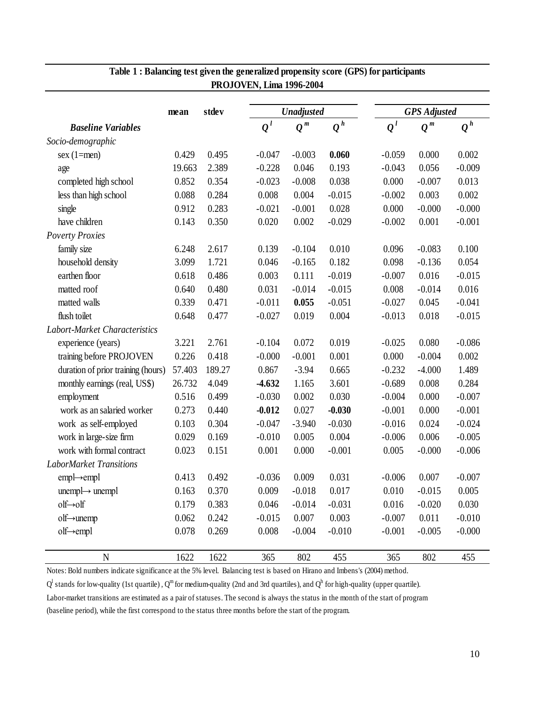|                                    | mean   | stdev  |                                    | <b>Unadjusted</b> |          |                    | <b>GPS</b> Adjusted |                  |  |
|------------------------------------|--------|--------|------------------------------------|-------------------|----------|--------------------|---------------------|------------------|--|
| <b>Baseline Variables</b>          |        |        | $\varrho^{\,\scriptscriptstyle l}$ | $Q^{\,m}$         | $Q^h$    | $\boldsymbol{Q}^l$ | $Q^{\,m}$           | $\overline{Q}^h$ |  |
| Socio-demographic                  |        |        |                                    |                   |          |                    |                     |                  |  |
| $sex(1=men)$                       | 0.429  | 0.495  | $-0.047$                           | $-0.003$          | 0.060    | $-0.059$           | 0.000               | 0.002            |  |
| age                                | 19.663 | 2.389  | $-0.228$                           | 0.046             | 0.193    | $-0.043$           | 0.056               | $-0.009$         |  |
| completed high school              | 0.852  | 0.354  | $-0.023$                           | $-0.008$          | 0.038    | 0.000              | $-0.007$            | 0.013            |  |
| less than high school              | 0.088  | 0.284  | 0.008                              | 0.004             | $-0.015$ | $-0.002$           | 0.003               | 0.002            |  |
| single                             | 0.912  | 0.283  | $-0.021$                           | $-0.001$          | 0.028    | 0.000              | $-0.000$            | $-0.000$         |  |
| have children                      | 0.143  | 0.350  | 0.020                              | 0.002             | $-0.029$ | $-0.002$           | 0.001               | $-0.001$         |  |
| <b>Poverty Proxies</b>             |        |        |                                    |                   |          |                    |                     |                  |  |
| family size                        | 6.248  | 2.617  | 0.139                              | $-0.104$          | 0.010    | 0.096              | $-0.083$            | 0.100            |  |
| household density                  | 3.099  | 1.721  | 0.046                              | $-0.165$          | 0.182    | 0.098              | $-0.136$            | 0.054            |  |
| earthen floor                      | 0.618  | 0.486  | 0.003                              | 0.111             | $-0.019$ | $-0.007$           | 0.016               | $-0.015$         |  |
| matted roof                        | 0.640  | 0.480  | 0.031                              | $-0.014$          | $-0.015$ | 0.008              | $-0.014$            | 0.016            |  |
| matted walls                       | 0.339  | 0.471  | $-0.011$                           | 0.055             | $-0.051$ | $-0.027$           | 0.045               | $-0.041$         |  |
| flush toilet                       | 0.648  | 0.477  | $-0.027$                           | 0.019             | 0.004    | $-0.013$           | 0.018               | $-0.015$         |  |
| Labort-Market Characteristics      |        |        |                                    |                   |          |                    |                     |                  |  |
| experience (years)                 | 3.221  | 2.761  | $-0.104$                           | 0.072             | 0.019    | $-0.025$           | 0.080               | $-0.086$         |  |
| training before PROJOVEN           | 0.226  | 0.418  | $-0.000$                           | $-0.001$          | 0.001    | 0.000              | $-0.004$            | 0.002            |  |
| duration of prior training (hours) | 57.403 | 189.27 | 0.867                              | $-3.94$           | 0.665    | $-0.232$           | $-4.000$            | 1.489            |  |
| monthly earnings (real, US\$)      | 26.732 | 4.049  | $-4.632$                           | 1.165             | 3.601    | $-0.689$           | 0.008               | 0.284            |  |
| employment                         | 0.516  | 0.499  | $-0.030$                           | 0.002             | 0.030    | $-0.004$           | 0.000               | $-0.007$         |  |
| work as an salaried worker         | 0.273  | 0.440  | $-0.012$                           | 0.027             | $-0.030$ | $-0.001$           | 0.000               | $-0.001$         |  |
| work as self-employed              | 0.103  | 0.304  | $-0.047$                           | $-3.940$          | $-0.030$ | $-0.016$           | 0.024               | $-0.024$         |  |
| work in large-size firm            | 0.029  | 0.169  | $-0.010$                           | 0.005             | 0.004    | $-0.006$           | 0.006               | $-0.005$         |  |
| work with formal contract          | 0.023  | 0.151  | 0.001                              | 0.000             | $-0.001$ | 0.005              | $-0.000$            | $-0.006$         |  |
| <b>LaborMarket Transitions</b>     |        |        |                                    |                   |          |                    |                     |                  |  |
| $empl \rightarrow empl$            | 0.413  | 0.492  | $-0.036$                           | 0.009             | 0.031    | $-0.006$           | 0.007               | $-0.007$         |  |
| $unempl\rightarrow unempl$         | 0.163  | 0.370  | 0.009                              | $-0.018$          | 0.017    | 0.010              | $-0.015$            | 0.005            |  |
| olf→olf                            | 0.179  | 0.383  | 0.046                              | $-0.014$          | $-0.031$ | 0.016              | $-0.020$            | 0.030            |  |
| olf→unemp                          | 0.062  | 0.242  | $-0.015$                           | 0.007             | 0.003    | $-0.007$           | 0.011               | $-0.010$         |  |
| $olf\rightarrow empl$              | 0.078  | 0.269  | 0.008                              | $-0.004$          | $-0.010$ | $-0.001$           | $-0.005$            | $-0.000$         |  |
| $\mathbf N$                        | 1622   | 1622   | 365                                | 802               | 455      | 365                | 802                 | 455              |  |

### **Table 1 : Balancing test given the generalized propensity score (GPS) for participants PROJOVEN, Lima 1996-2004**

Notes: Bold numbers indicate significance at the 5% level. Balancing test is based on Hirano and Imbens's (2004) method.

 $Q<sup>l</sup>$  stands for low-quality (1st quartile),  $Q<sup>m</sup>$  for medium-quality (2nd and 3rd quartiles), and  $Q<sup>h</sup>$  for high-quality (upper quartile).

Labor-market transitions are estimated as a pair of statuses. The second is always the status in the month of the start of program

(baseline period), while the first correspond to the status three months before the start of the program.